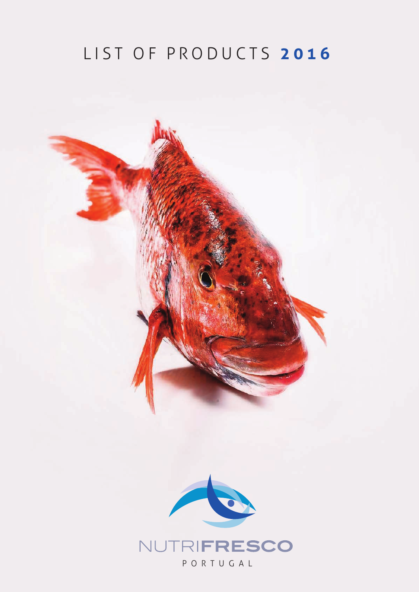## LIST OF PRODUCTS 2016

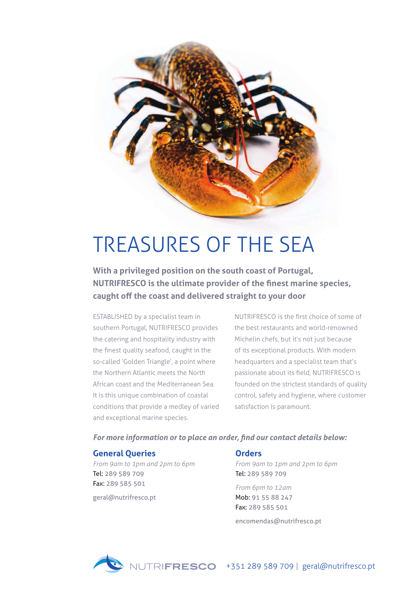

# TREASURES OF THE SEA

**With a privileged position on the south coast of Portugal, NutrifrescO is the ultimate provider of the finest marine species, caught off the coast and delivered straight to your door**

ESTABLISHED by a specialist team in southern Portugal, NUTRIFRESCO provides the catering and hospitality industry with the finest quality seafood, caught in the so-called 'Golden Triangle', a point where the Northern Atlantic meets the North African coast and the Mediterranean Sea. It is this unique combination of coastal conditions that provide a medley of varied and exceptional marine species.

NUTRIFRESCO is the first choice of some of the best restaurants and world-renowned Michelin chefs, but it's not just because of its exceptional products. With modern headquarters and a specialist team that's passionate about its field, NUTRIFRESCO is founded on the strictest standards of quality control, safety and hygiene, where customer satisfaction is paramount.

#### *For more information or to place an order, find our contact details below:*

#### **General Queries**

*From 9am to 1pm and 2pm to 6pm* Tel: 289 589 709 Fax: 289 585 501

geral@nutrifresco.pt

#### **Orders**

*From 9am to 1pm and 2pm to 6pm* Tel: 289 589 709

*From 6pm to 12am* Mob: 91 55 88 247 Fax: 289 585 501

encomendas@nutrifresco.pt

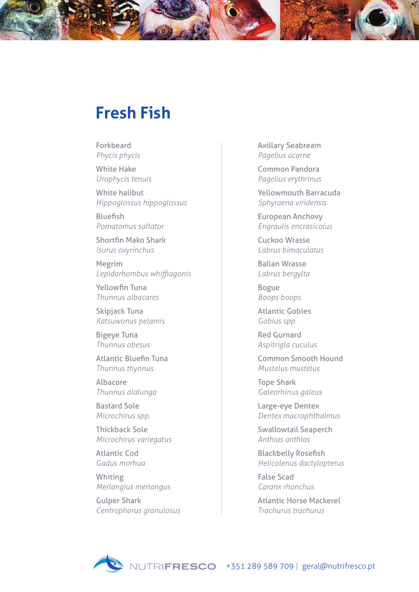### **fresh fish**

Forkbeard *Phycis phycis* 

White Hake *Urophycis tenuis* 

White halibut *Hippoglossus hippoglossus* 

Bluefish *Pomatomus saltator* 

Shortfin Mako Shark *Isurus oxyrinchus* 

Megrim *Lepidorhombus whiffiagonis* 

Yellowfin Tuna *Thunnus albacares* 

Skipjack Tuna *Katsuwonus pelamis* 

Bigeye Tuna *Thunnus obesus*

Atlantic Bluefin Tuna *Thunnus thynnus* 

Albacore *Thunnus alalunga* 

Bastard Sole *Microchirus spp.* 

Thickback Sole *Microchirus variegatus* 

Atlantic Cod *Gadus morhua* 

Whiting *Merlangius merlangus* 

Gulper Shark *Centrophorus granulosus*  Axillary Seabream *Pagellus acarne* 

Common Pandora *Pagellus erythrinus* 

Yellowmouth Barracuda *Sphyraena viridensis* 

European Anchovy *Engraulis encrasicolus* 

Cuckoo Wrasse *Labrus bimaculatus* 

Ballan Wrasse *Labrus bergylta* 

Bogue *Boops boops* 

Atlantic Gobies *Gobius spp.* 

Red Gurnard *Aspitrigla cuculus*

Common Smooth Hound *Mustelus mustelus* 

Tope Shark *Galeorhinus galeus* 

Large-eye Dentex *Dentex macrophthalmus*

Swallowtail Seaperch *Anthias anthias* 

Blackbelly Rosefish *Helicolenus dactylopterus* 

False Scad *Caranx rhonchus* 

Atlantic Horse Mackerel *Trachurus trachurus* 

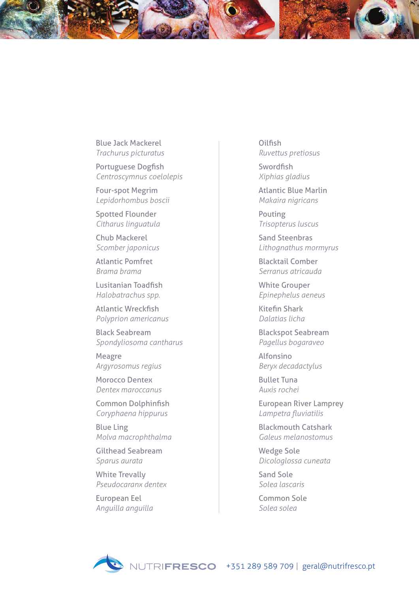Blue Jack Mackerel *Trachurus picturatus* 

Portuguese Dogfish *Centroscymnus coelolepis*

Four-spot Megrim *Lepidorhombus boscii* 

Spotted Flounder *Citharus linguatula* 

Chub Mackerel *Scomber japonicus*

Atlantic Pomfret *Brama brama* 

Lusitanian Toadfish *Halobatrachus spp.* 

Atlantic Wreckfish *Polyprion americanus* 

Black Seabream *Spondyliosoma cantharus* 

Meagre *Argyrosomus regius* 

Morocco Dentex *Dentex maroccanus* 

Common Dolphinfish *Coryphaena hippurus* 

Blue Ling *Molva macrophthalma* 

Gilthead Seabream *Sparus aurata* 

White Trevally *Pseudocaranx dentex* 

European Eel *Anguilla anguilla*  **Oilfish** *Ruvettus pretiosus* 

Swordfish *Xiphias gladius* 

Atlantic Blue Marlin *Makaira nigricans* 

Pouting *Trisopterus luscus* 

Sand Steenbras *Lithognathus mormyrus* 

Blacktail Comber *Serranus atricauda* 

White Grouper *Epinephelus aeneus* 

Kitefin Shark *Dalatias licha* 

Blackspot Seabream *Pagellus bogaraveo*

Alfonsino *Beryx decadactylus* 

Bullet Tuna *Auxis rochei* 

European River Lamprey *Lampetra fluviatilis* 

Blackmouth Catshark *Galeus melanostomus* 

Wedge Sole *Dicologlossa cuneata*

Sand Sole *Solea lascaris*

Common Sole *Solea solea*

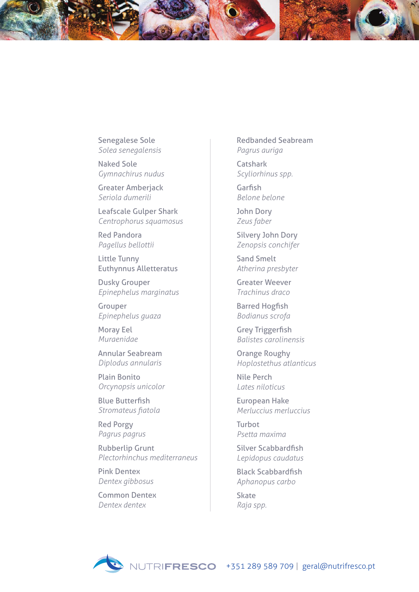Senegalese Sole *Solea senegalensis* 

Naked Sole *Gymnachirus nudus*

Greater Amberjack *Seriola dumerili* 

Leafscale Gulper Shark *Centrophorus squamosus* 

Red Pandora *Pagellus bellottii* 

Little Tunny Euthynnus Alletteratus

Dusky Grouper *Epinephelus marginatus* 

Grouper *Epinephelus guaza*

Moray Eel *Muraenidae* 

Annular Seabream *Diplodus annularis*

Plain Bonito *Orcynopsis unicolor*

Blue Butterfish *Stromateus fiatola* 

Red Porgy *Pagrus pagrus* 

Rubberlip Grunt *Plectorhinchus mediterraneus* 

Pink Dentex *Dentex gibbosus*

Common Dentex *Dentex dentex* 

Redbanded Seabream *Pagrus auriga*

Catshark *Scyliorhinus spp.*

Garfish *Belone belone* 

John Dory *Zeus faber* 

Silvery John Dory *Zenopsis conchifer* 

Sand Smelt *Atherina presbyter*

Greater Weever *Trachinus draco* 

Barred Hogfish *Bodianus scrofa* 

Grey Triggerfish *Balistes carolinensis* 

Orange Roughy *Hoplostethus atlanticus* 

Nile Perch *Lates niloticus* 

European Hake *Merluccius merluccius* 

Turbot *Psetta maxima* 

Silver Scabbardfish *Lepidopus caudatus*

Black Scabbardfish *Aphanopus carbo*

**Skate** *Raja spp.*